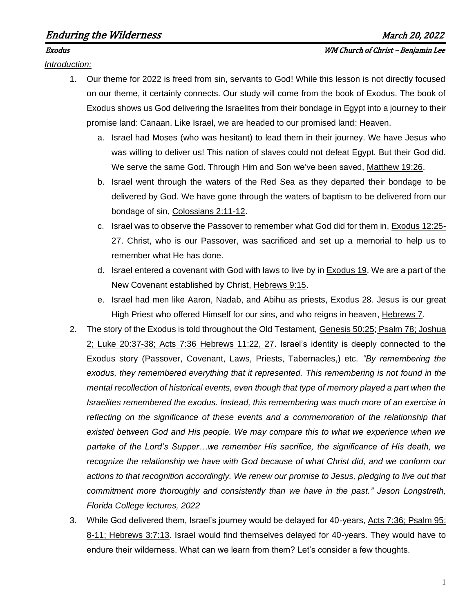*Introduction:*

- 1. Our theme for 2022 is freed from sin, servants to God! While this lesson is not directly focused on our theme, it certainly connects. Our study will come from the book of Exodus. The book of Exodus shows us God delivering the Israelites from their bondage in Egypt into a journey to their promise land: Canaan. Like Israel, we are headed to our promised land: Heaven.
	- a. Israel had Moses (who was hesitant) to lead them in their journey. We have Jesus who was willing to deliver us! This nation of slaves could not defeat Egypt. But their God did. We serve the same God. Through Him and Son we've been saved, Matthew 19:26.
	- b. Israel went through the waters of the Red Sea as they departed their bondage to be delivered by God. We have gone through the waters of baptism to be delivered from our bondage of sin, Colossians 2:11-12.
	- c. Israel was to observe the Passover to remember what God did for them in, Exodus 12:25- 27. Christ, who is our Passover, was sacrificed and set up a memorial to help us to remember what He has done.
	- d. Israel entered a covenant with God with laws to live by in Exodus 19. We are a part of the New Covenant established by Christ, Hebrews 9:15.
	- e. Israel had men like Aaron, Nadab, and Abihu as priests, Exodus 28. Jesus is our great High Priest who offered Himself for our sins, and who reigns in heaven, Hebrews 7.
- 2. The story of the Exodus is told throughout the Old Testament, Genesis 50:25; Psalm 78; Joshua 2; Luke 20:37-38; Acts 7:36 Hebrews 11:22, 27. Israel's identity is deeply connected to the Exodus story (Passover, Covenant, Laws, Priests, Tabernacles,) etc. *"By remembering the exodus, they remembered everything that it represented. This remembering is not found in the mental recollection of historical events, even though that type of memory played a part when the Israelites remembered the exodus. Instead, this remembering was much more of an exercise in reflecting on the significance of these events and a commemoration of the relationship that existed between God and His people. We may compare this to what we experience when we partake of the Lord's Supper…we remember His sacrifice, the significance of His death, we recognize the relationship we have with God because of what Christ did, and we conform our actions to that recognition accordingly. We renew our promise to Jesus, pledging to live out that commitment more thoroughly and consistently than we have in the past." Jason Longstreth, Florida College lectures, 2022*
- 3. While God delivered them, Israel's journey would be delayed for 40-years, Acts 7:36; Psalm 95: 8-11; Hebrews 3:7:13. Israel would find themselves delayed for 40-years. They would have to endure their wilderness. What can we learn from them? Let's consider a few thoughts.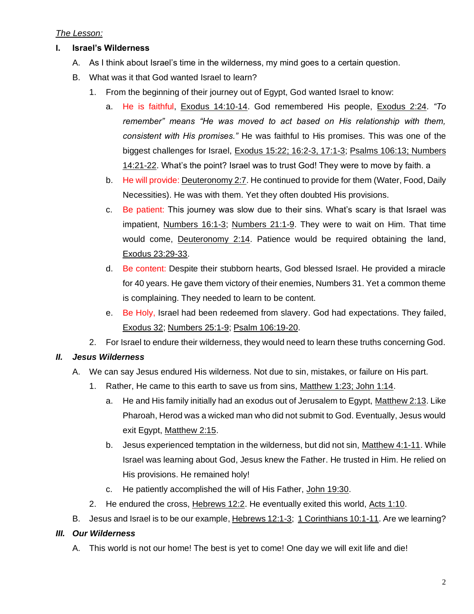### *The Lesson:*

- **I. Israel's Wilderness**
	- A. As I think about Israel's time in the wilderness, my mind goes to a certain question.
	- B. What was it that God wanted Israel to learn?
		- 1. From the beginning of their journey out of Egypt, God wanted Israel to know:
			- a. He is faithful, Exodus 14:10-14. God remembered His people, Exodus 2:24. *"To remember" means "He was moved to act based on His relationship with them, consistent with His promises."* He was faithful to His promises. This was one of the biggest challenges for Israel, Exodus 15:22; 16:2-3, 17:1-3; Psalms 106:13; Numbers 14:21-22. What's the point? Israel was to trust God! They were to move by faith. a
			- b. He will provide: Deuteronomy 2:7. He continued to provide for them (Water, Food, Daily Necessities). He was with them. Yet they often doubted His provisions.
			- c. Be patient: This journey was slow due to their sins. What's scary is that Israel was impatient, Numbers 16:1-3; Numbers 21:1-9. They were to wait on Him. That time would come, Deuteronomy 2:14. Patience would be required obtaining the land, Exodus 23:29-33.
			- d. Be content: Despite their stubborn hearts, God blessed Israel. He provided a miracle for 40 years. He gave them victory of their enemies, Numbers 31. Yet a common theme is complaining. They needed to learn to be content.
			- e. Be Holy, Israel had been redeemed from slavery. God had expectations. They failed, Exodus 32; Numbers 25:1-9; Psalm 106:19-20.
		- 2. For Israel to endure their wilderness, they would need to learn these truths concerning God.

# *II. Jesus Wilderness*

- A. We can say Jesus endured His wilderness. Not due to sin, mistakes, or failure on His part.
	- 1. Rather, He came to this earth to save us from sins, Matthew 1:23; John 1:14.
		- a. He and His family initially had an exodus out of Jerusalem to Egypt, Matthew 2:13. Like Pharoah, Herod was a wicked man who did not submit to God. Eventually, Jesus would exit Egypt, Matthew 2:15.
		- b. Jesus experienced temptation in the wilderness, but did not sin, Matthew 4:1-11. While Israel was learning about God, Jesus knew the Father. He trusted in Him. He relied on His provisions. He remained holy!
		- c. He patiently accomplished the will of His Father, John 19:30.
	- 2. He endured the cross, Hebrews 12:2. He eventually exited this world, Acts 1:10.
- B. Jesus and Israel is to be our example, Hebrews 12:1-3; 1 Corinthians 10:1-11. Are we learning?

# *III. Our Wilderness*

A. This world is not our home! The best is yet to come! One day we will exit life and die!